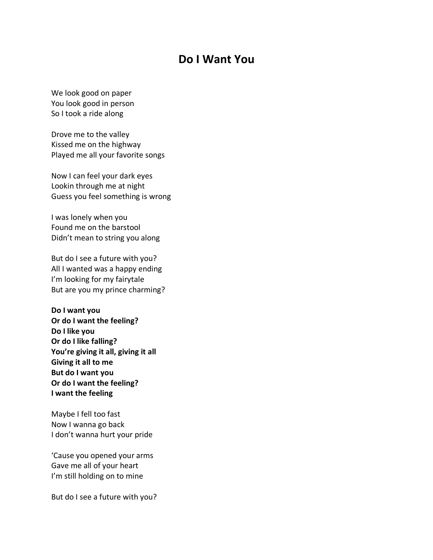## **Do I Want You**

We look good on paper You look good in person So I took a ride along

Drove me to the valley Kissed me on the highway Played me all your favorite songs

Now I can feel your dark eyes Lookin through me at night Guess you feel something is wrong

I was lonely when you Found me on the barstool Didn't mean to string you along

But do I see a future with you? All I wanted was a happy ending I'm looking for my fairytale But are you my prince charming?

**Do I want you Or do I want the feeling? Do I like you Or do I like falling? You're giving it all, giving it all Giving it all to me But do I want you Or do I want the feeling? I want the feeling** 

Maybe I fell too fast Now I wanna go back I don't wanna hurt your pride

'Cause you opened your arms Gave me all of your heart I'm still holding on to mine

But do I see a future with you?